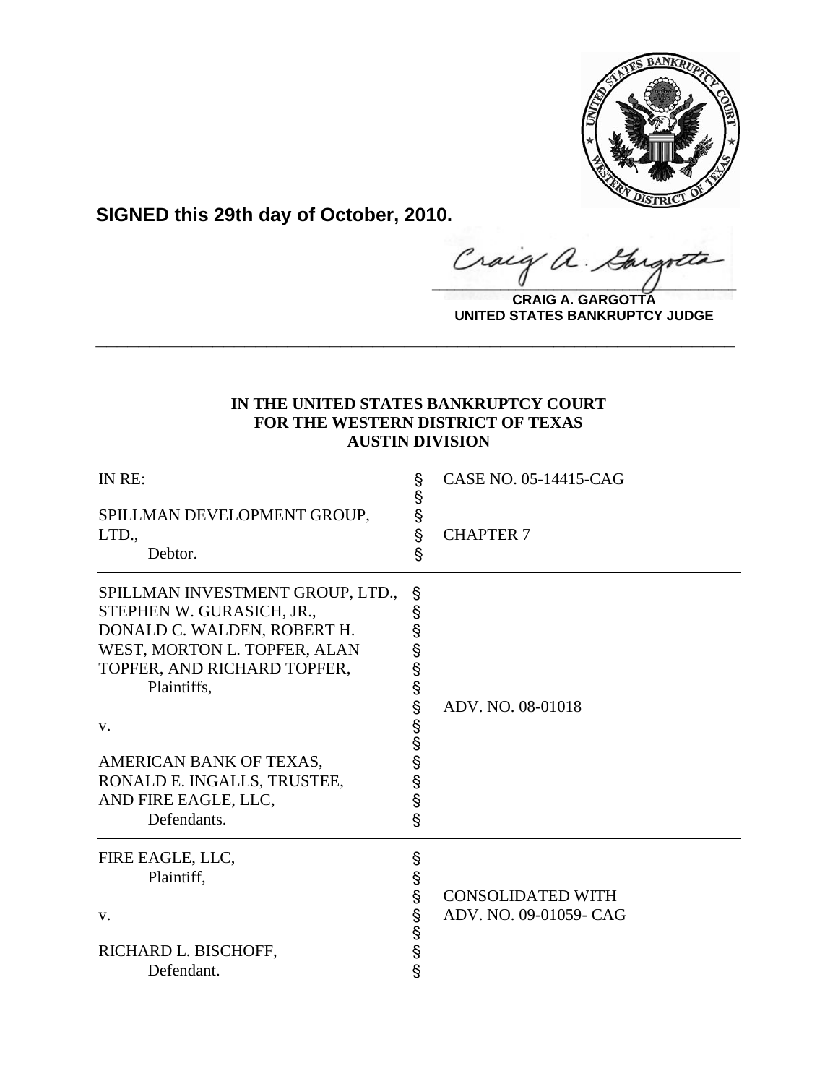

**SIGNED this 29th day of October, 2010.**

**\_\_\_\_\_\_\_\_\_\_\_\_\_\_\_\_\_\_\_\_\_\_\_\_\_\_\_\_\_\_\_\_\_\_\_\_\_\_\_\_** Gargote

**CRAIG A. GARGOTTA UNITED STATES BANKRUPTCY JUDGE**

# **IN THE UNITED STATES BANKRUPTCY COURT FOR THE WESTERN DISTRICT OF TEXAS AUSTIN DIVISION**

**\_\_\_\_\_\_\_\_\_\_\_\_\_\_\_\_\_\_\_\_\_\_\_\_\_\_\_\_\_\_\_\_\_\_\_\_\_\_\_\_\_\_\_\_\_\_\_\_\_\_\_\_\_\_\_\_\_\_\_\_**

| IN RE:                           | Ş             | CASE NO. 05-14415-CAG    |
|----------------------------------|---------------|--------------------------|
| SPILLMAN DEVELOPMENT GROUP,      | <b>့</b><br>န |                          |
| LTD.,                            |               | <b>CHAPTER 7</b>         |
| Debtor.                          | Ŝ             |                          |
| SPILLMAN INVESTMENT GROUP, LTD., | S             |                          |
| STEPHEN W. GURASICH, JR.,        | §             |                          |
| DONALD C. WALDEN, ROBERT H.      | §             |                          |
| WEST, MORTON L. TOPFER, ALAN     | Ş             |                          |
| TOPFER, AND RICHARD TOPFER,      | §             |                          |
| Plaintiffs,                      | Ş             |                          |
|                                  | Ş             | ADV. NO. 08-01018        |
| V.                               | §<br>§        |                          |
|                                  |               |                          |
| AMERICAN BANK OF TEXAS,          | Ş             |                          |
| RONALD E. INGALLS, TRUSTEE,      | Ş             |                          |
| AND FIRE EAGLE, LLC,             | Ş             |                          |
| Defendants.                      | $\S$          |                          |
| FIRE EAGLE, LLC,                 | Ş             |                          |
| Plaintiff,                       | Ş             |                          |
|                                  | §             | <b>CONSOLIDATED WITH</b> |
| V.                               | Ş             | ADV. NO. 09-01059- CAG   |
|                                  | $\S$          |                          |
| RICHARD L. BISCHOFF,             | Ş             |                          |
| Defendant.                       | Ŝ             |                          |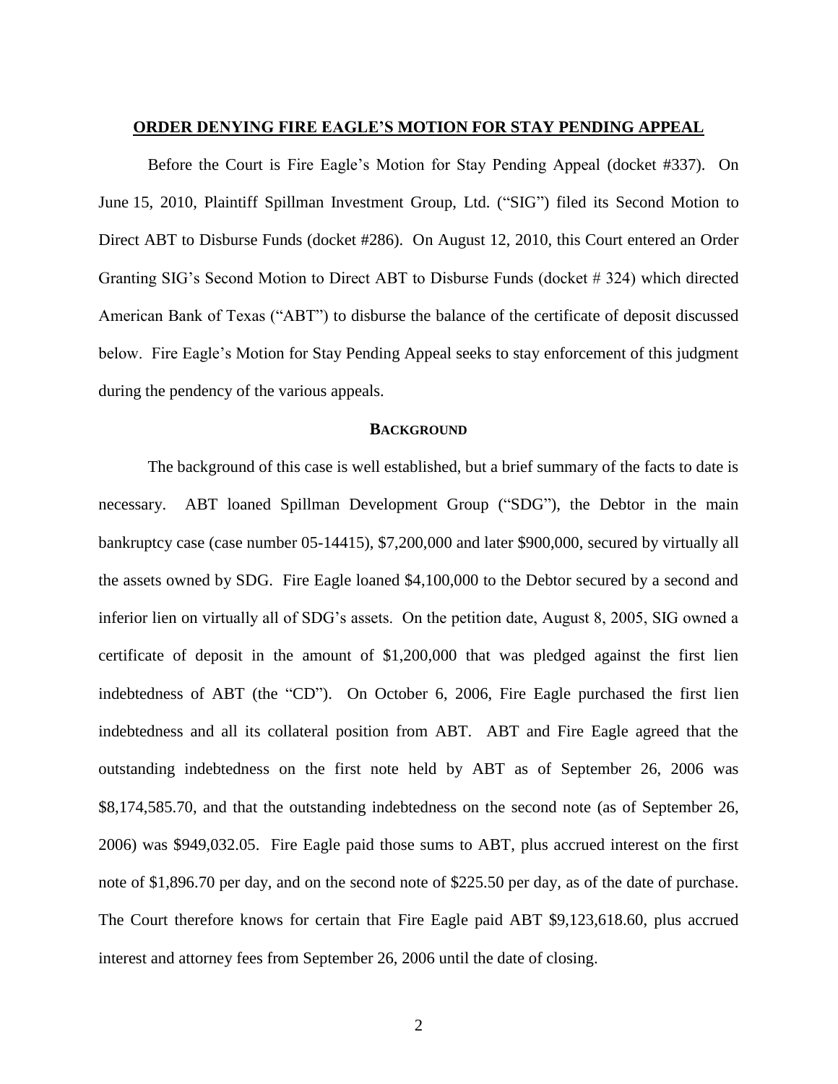# **ORDER DENYING FIRE EAGLE'S MOTION FOR STAY PENDING APPEAL**

Before the Court is Fire Eagle"s Motion for Stay Pending Appeal (docket #337). On June 15, 2010, Plaintiff Spillman Investment Group, Ltd. ("SIG") filed its Second Motion to Direct ABT to Disburse Funds (docket #286). On August 12, 2010, this Court entered an Order Granting SIG"s Second Motion to Direct ABT to Disburse Funds (docket # 324) which directed American Bank of Texas ("ABT") to disburse the balance of the certificate of deposit discussed below. Fire Eagle's Motion for Stay Pending Appeal seeks to stay enforcement of this judgment during the pendency of the various appeals.

# **BACKGROUND**

The background of this case is well established, but a brief summary of the facts to date is necessary. ABT loaned Spillman Development Group ("SDG"), the Debtor in the main bankruptcy case (case number 05-14415), \$7,200,000 and later \$900,000, secured by virtually all the assets owned by SDG. Fire Eagle loaned \$4,100,000 to the Debtor secured by a second and inferior lien on virtually all of SDG"s assets. On the petition date, August 8, 2005, SIG owned a certificate of deposit in the amount of \$1,200,000 that was pledged against the first lien indebtedness of ABT (the "CD"). On October 6, 2006, Fire Eagle purchased the first lien indebtedness and all its collateral position from ABT. ABT and Fire Eagle agreed that the outstanding indebtedness on the first note held by ABT as of September 26, 2006 was \$8,174,585.70, and that the outstanding indebtedness on the second note (as of September 26, 2006) was \$949,032.05. Fire Eagle paid those sums to ABT, plus accrued interest on the first note of \$1,896.70 per day, and on the second note of \$225.50 per day, as of the date of purchase. The Court therefore knows for certain that Fire Eagle paid ABT \$9,123,618.60, plus accrued interest and attorney fees from September 26, 2006 until the date of closing.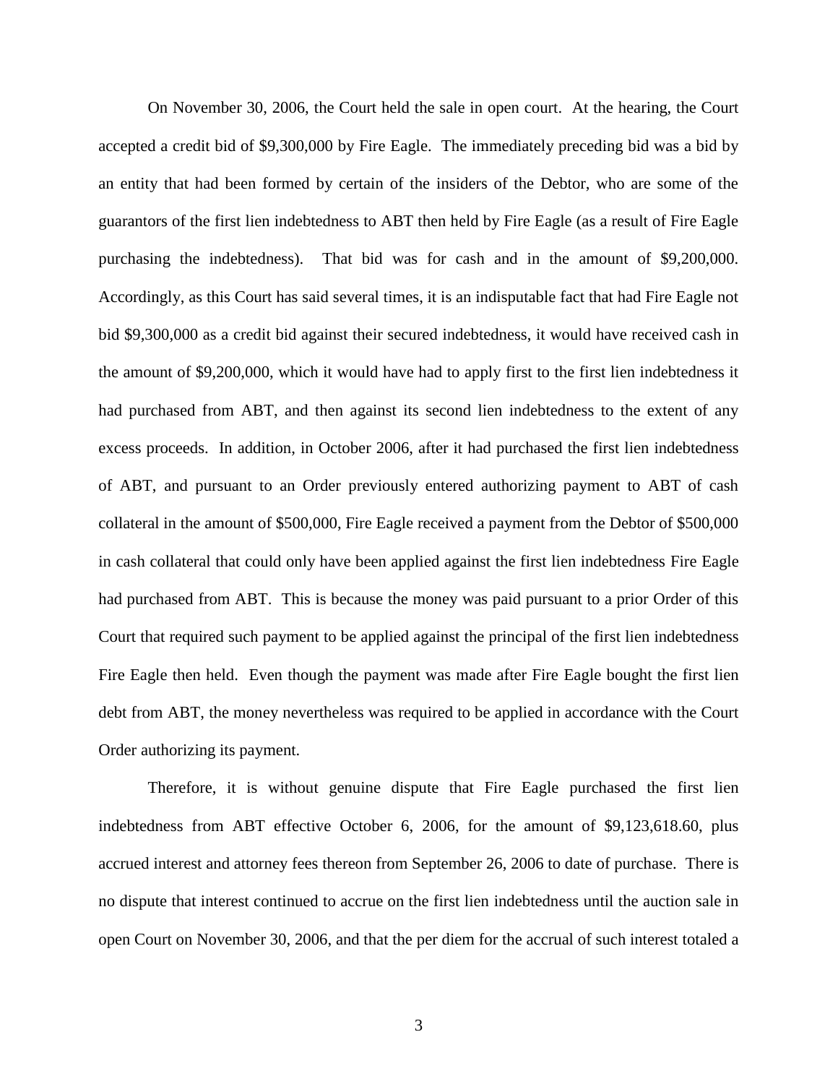On November 30, 2006, the Court held the sale in open court. At the hearing, the Court accepted a credit bid of \$9,300,000 by Fire Eagle. The immediately preceding bid was a bid by an entity that had been formed by certain of the insiders of the Debtor, who are some of the guarantors of the first lien indebtedness to ABT then held by Fire Eagle (as a result of Fire Eagle purchasing the indebtedness). That bid was for cash and in the amount of \$9,200,000. Accordingly, as this Court has said several times, it is an indisputable fact that had Fire Eagle not bid \$9,300,000 as a credit bid against their secured indebtedness, it would have received cash in the amount of \$9,200,000, which it would have had to apply first to the first lien indebtedness it had purchased from ABT, and then against its second lien indebtedness to the extent of any excess proceeds. In addition, in October 2006, after it had purchased the first lien indebtedness of ABT, and pursuant to an Order previously entered authorizing payment to ABT of cash collateral in the amount of \$500,000, Fire Eagle received a payment from the Debtor of \$500,000 in cash collateral that could only have been applied against the first lien indebtedness Fire Eagle had purchased from ABT. This is because the money was paid pursuant to a prior Order of this Court that required such payment to be applied against the principal of the first lien indebtedness Fire Eagle then held. Even though the payment was made after Fire Eagle bought the first lien debt from ABT, the money nevertheless was required to be applied in accordance with the Court Order authorizing its payment.

Therefore, it is without genuine dispute that Fire Eagle purchased the first lien indebtedness from ABT effective October 6, 2006, for the amount of \$9,123,618.60, plus accrued interest and attorney fees thereon from September 26, 2006 to date of purchase. There is no dispute that interest continued to accrue on the first lien indebtedness until the auction sale in open Court on November 30, 2006, and that the per diem for the accrual of such interest totaled a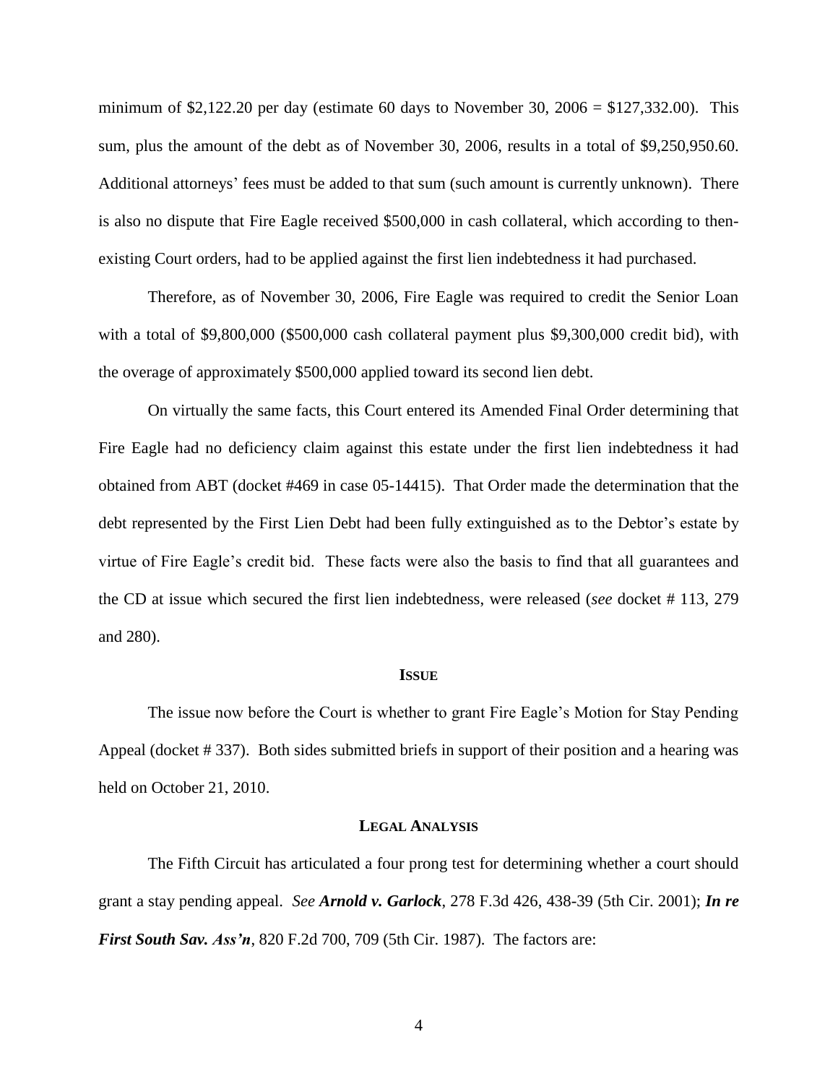minimum of \$2,122.20 per day (estimate 60 days to November 30,  $2006 = $127,332.00$ ). This sum, plus the amount of the debt as of November 30, 2006, results in a total of \$9,250,950.60. Additional attorneys" fees must be added to that sum (such amount is currently unknown). There is also no dispute that Fire Eagle received \$500,000 in cash collateral, which according to thenexisting Court orders, had to be applied against the first lien indebtedness it had purchased.

Therefore, as of November 30, 2006, Fire Eagle was required to credit the Senior Loan with a total of \$9,800,000 (\$500,000 cash collateral payment plus \$9,300,000 credit bid), with the overage of approximately \$500,000 applied toward its second lien debt.

On virtually the same facts, this Court entered its Amended Final Order determining that Fire Eagle had no deficiency claim against this estate under the first lien indebtedness it had obtained from ABT (docket #469 in case 05-14415). That Order made the determination that the debt represented by the First Lien Debt had been fully extinguished as to the Debtor's estate by virtue of Fire Eagle"s credit bid. These facts were also the basis to find that all guarantees and the CD at issue which secured the first lien indebtedness, were released (*see* docket # 113, 279 and 280).

#### **ISSUE**

The issue now before the Court is whether to grant Fire Eagle"s Motion for Stay Pending Appeal (docket # 337). Both sides submitted briefs in support of their position and a hearing was held on October 21, 2010.

#### **LEGAL ANALYSIS**

The Fifth Circuit has articulated a four prong test for determining whether a court should grant a stay pending appeal. *See Arnold v. Garlock*, 278 F.3d 426, 438-39 (5th Cir. 2001); *In re First South Sav. Ass'n*, 820 F.2d 700, 709 (5th Cir. 1987). The factors are: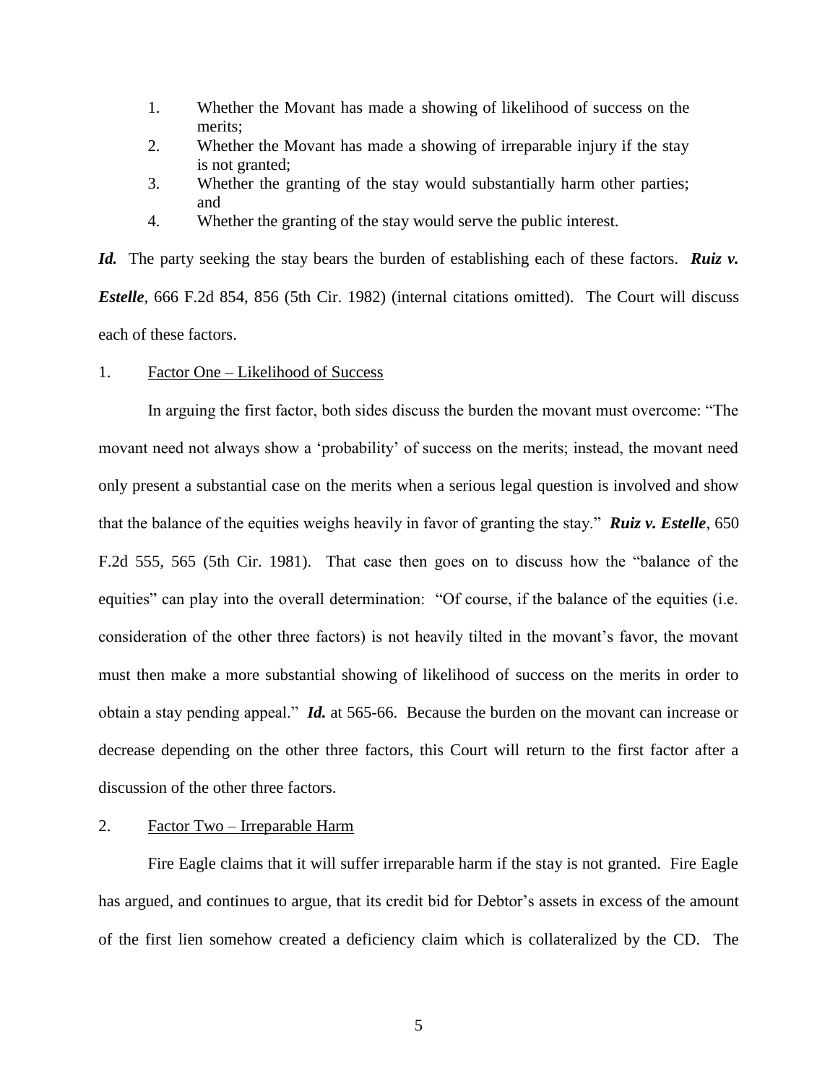- 1. Whether the Movant has made a showing of likelihood of success on the merits;
- 2. Whether the Movant has made a showing of irreparable injury if the stay is not granted;
- 3. Whether the granting of the stay would substantially harm other parties; and
- 4. Whether the granting of the stay would serve the public interest.

*Id.* The party seeking the stay bears the burden of establishing each of these factors. *Ruiz v. Estelle*, 666 F.2d 854, 856 (5th Cir. 1982) (internal citations omitted). The Court will discuss each of these factors.

### 1. Factor One – Likelihood of Success

In arguing the first factor, both sides discuss the burden the movant must overcome: "The movant need not always show a "probability" of success on the merits; instead, the movant need only present a substantial case on the merits when a serious legal question is involved and show that the balance of the equities weighs heavily in favor of granting the stay." *Ruiz v. Estelle*, 650 F.2d 555, 565 (5th Cir. 1981). That case then goes on to discuss how the "balance of the equities" can play into the overall determination: "Of course, if the balance of the equities (i.e. consideration of the other three factors) is not heavily tilted in the movant"s favor, the movant must then make a more substantial showing of likelihood of success on the merits in order to obtain a stay pending appeal." *Id.* at 565-66. Because the burden on the movant can increase or decrease depending on the other three factors, this Court will return to the first factor after a discussion of the other three factors.

# 2. Factor Two – Irreparable Harm

Fire Eagle claims that it will suffer irreparable harm if the stay is not granted. Fire Eagle has argued, and continues to argue, that its credit bid for Debtor's assets in excess of the amount of the first lien somehow created a deficiency claim which is collateralized by the CD. The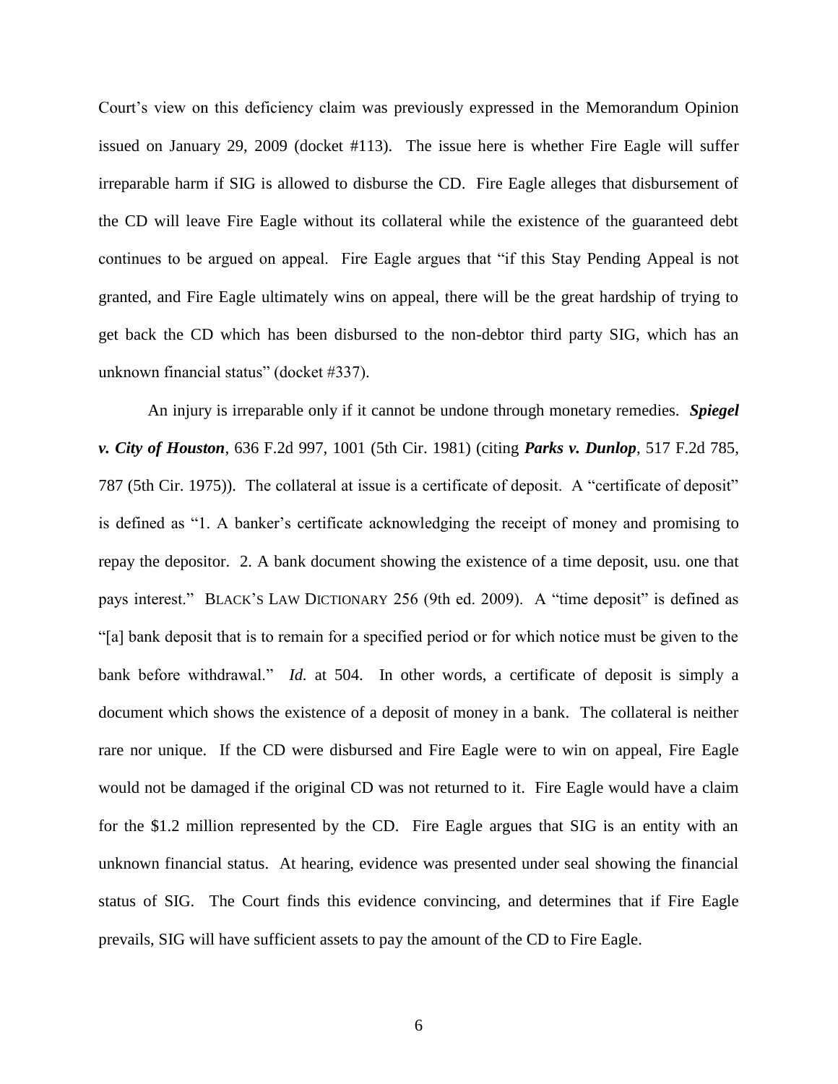Court's view on this deficiency claim was previously expressed in the Memorandum Opinion issued on January 29, 2009 (docket #113). The issue here is whether Fire Eagle will suffer irreparable harm if SIG is allowed to disburse the CD. Fire Eagle alleges that disbursement of the CD will leave Fire Eagle without its collateral while the existence of the guaranteed debt continues to be argued on appeal. Fire Eagle argues that "if this Stay Pending Appeal is not granted, and Fire Eagle ultimately wins on appeal, there will be the great hardship of trying to get back the CD which has been disbursed to the non-debtor third party SIG, which has an unknown financial status" (docket #337).

An injury is irreparable only if it cannot be undone through monetary remedies. *Spiegel v. City of Houston*, 636 F.2d 997, 1001 (5th Cir. 1981) (citing *Parks v. Dunlop*, 517 F.2d 785, 787 (5th Cir. 1975)). The collateral at issue is a certificate of deposit. A "certificate of deposit" is defined as "1. A banker's certificate acknowledging the receipt of money and promising to repay the depositor. 2. A bank document showing the existence of a time deposit, usu. one that pays interest." BLACK"S LAW DICTIONARY 256 (9th ed. 2009). A "time deposit" is defined as "[a] bank deposit that is to remain for a specified period or for which notice must be given to the bank before withdrawal." *Id.* at 504. In other words, a certificate of deposit is simply a document which shows the existence of a deposit of money in a bank. The collateral is neither rare nor unique. If the CD were disbursed and Fire Eagle were to win on appeal, Fire Eagle would not be damaged if the original CD was not returned to it. Fire Eagle would have a claim for the \$1.2 million represented by the CD. Fire Eagle argues that SIG is an entity with an unknown financial status. At hearing, evidence was presented under seal showing the financial status of SIG. The Court finds this evidence convincing, and determines that if Fire Eagle prevails, SIG will have sufficient assets to pay the amount of the CD to Fire Eagle.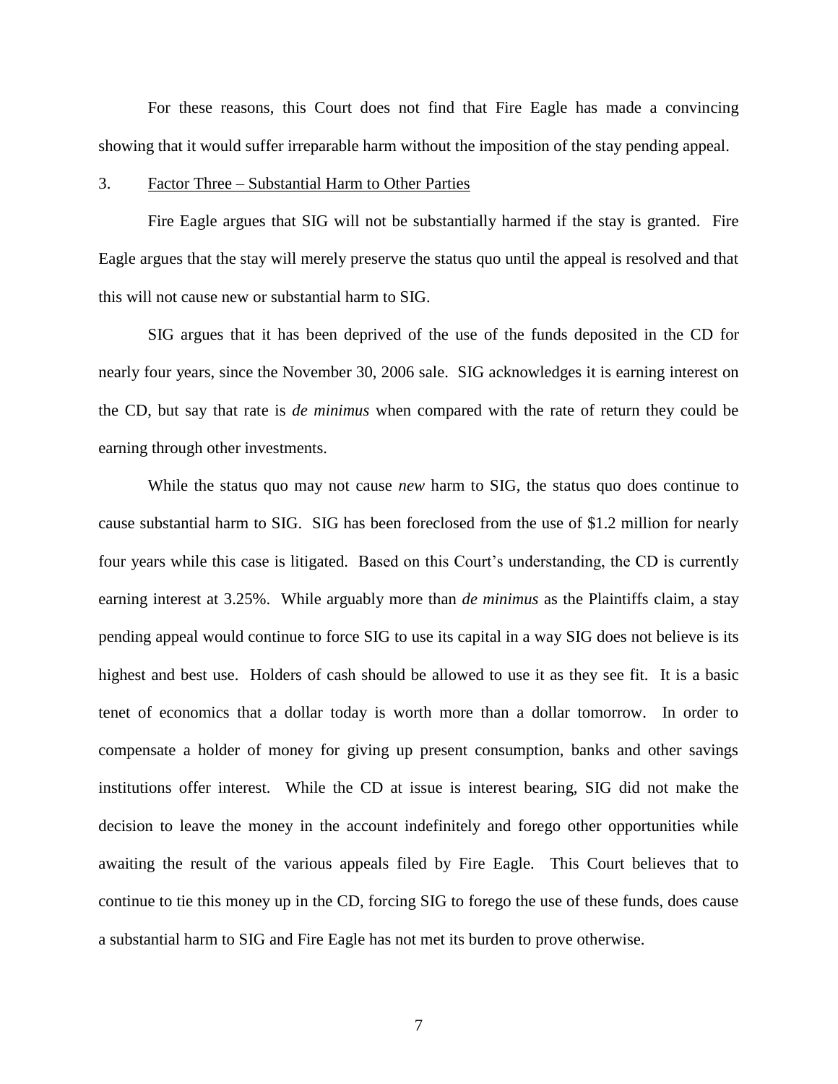For these reasons, this Court does not find that Fire Eagle has made a convincing showing that it would suffer irreparable harm without the imposition of the stay pending appeal.

# 3. Factor Three – Substantial Harm to Other Parties

Fire Eagle argues that SIG will not be substantially harmed if the stay is granted. Fire Eagle argues that the stay will merely preserve the status quo until the appeal is resolved and that this will not cause new or substantial harm to SIG.

SIG argues that it has been deprived of the use of the funds deposited in the CD for nearly four years, since the November 30, 2006 sale. SIG acknowledges it is earning interest on the CD, but say that rate is *de minimus* when compared with the rate of return they could be earning through other investments.

While the status quo may not cause *new* harm to SIG, the status quo does continue to cause substantial harm to SIG. SIG has been foreclosed from the use of \$1.2 million for nearly four years while this case is litigated. Based on this Court's understanding, the CD is currently earning interest at 3.25%. While arguably more than *de minimus* as the Plaintiffs claim, a stay pending appeal would continue to force SIG to use its capital in a way SIG does not believe is its highest and best use. Holders of cash should be allowed to use it as they see fit. It is a basic tenet of economics that a dollar today is worth more than a dollar tomorrow. In order to compensate a holder of money for giving up present consumption, banks and other savings institutions offer interest. While the CD at issue is interest bearing, SIG did not make the decision to leave the money in the account indefinitely and forego other opportunities while awaiting the result of the various appeals filed by Fire Eagle. This Court believes that to continue to tie this money up in the CD, forcing SIG to forego the use of these funds, does cause a substantial harm to SIG and Fire Eagle has not met its burden to prove otherwise.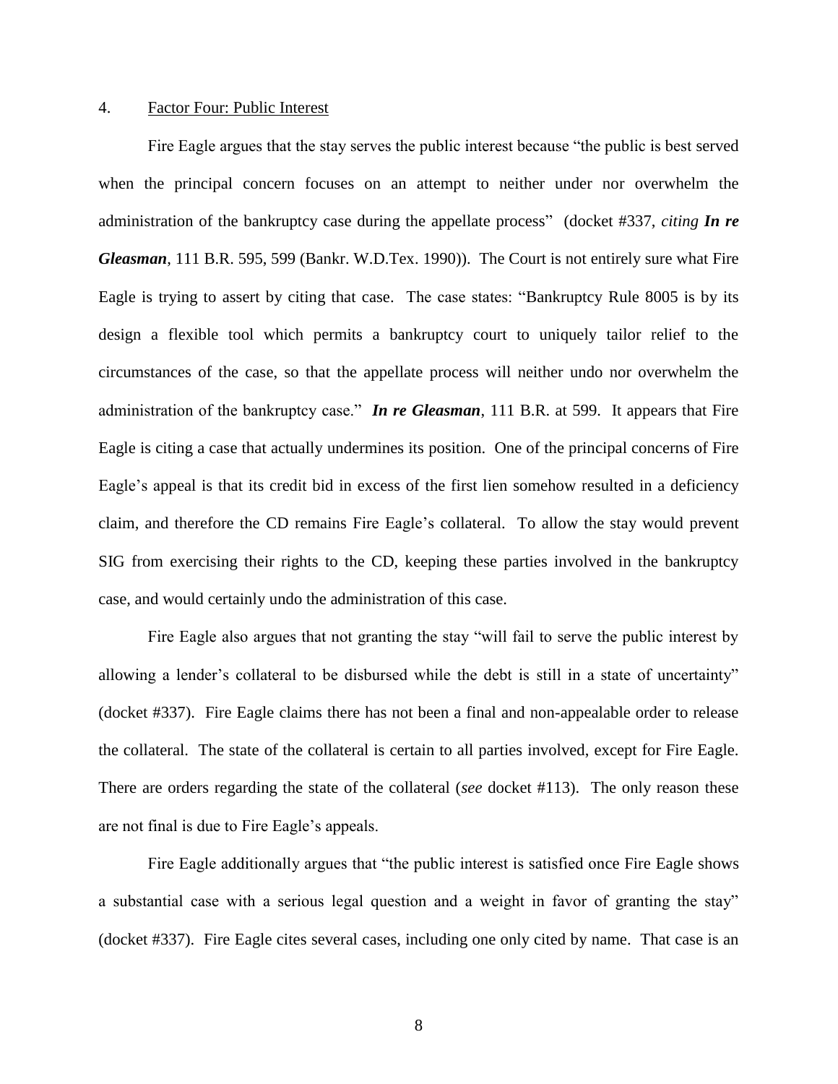# 4. Factor Four: Public Interest

Fire Eagle argues that the stay serves the public interest because "the public is best served when the principal concern focuses on an attempt to neither under nor overwhelm the administration of the bankruptcy case during the appellate process" (docket #337, *citing In re Gleasman*, 111 B.R. 595, 599 (Bankr. W.D.Tex. 1990)). The Court is not entirely sure what Fire Eagle is trying to assert by citing that case. The case states: "Bankruptcy Rule 8005 is by its design a flexible tool which permits a bankruptcy court to uniquely tailor relief to the circumstances of the case, so that the appellate process will neither undo nor overwhelm the administration of the bankruptcy case." *In re Gleasman*, 111 B.R. at 599. It appears that Fire Eagle is citing a case that actually undermines its position. One of the principal concerns of Fire Eagle's appeal is that its credit bid in excess of the first lien somehow resulted in a deficiency claim, and therefore the CD remains Fire Eagle"s collateral. To allow the stay would prevent SIG from exercising their rights to the CD, keeping these parties involved in the bankruptcy case, and would certainly undo the administration of this case.

Fire Eagle also argues that not granting the stay "will fail to serve the public interest by allowing a lender"s collateral to be disbursed while the debt is still in a state of uncertainty" (docket #337). Fire Eagle claims there has not been a final and non-appealable order to release the collateral. The state of the collateral is certain to all parties involved, except for Fire Eagle. There are orders regarding the state of the collateral (*see* docket #113). The only reason these are not final is due to Fire Eagle"s appeals.

Fire Eagle additionally argues that "the public interest is satisfied once Fire Eagle shows a substantial case with a serious legal question and a weight in favor of granting the stay" (docket #337). Fire Eagle cites several cases, including one only cited by name. That case is an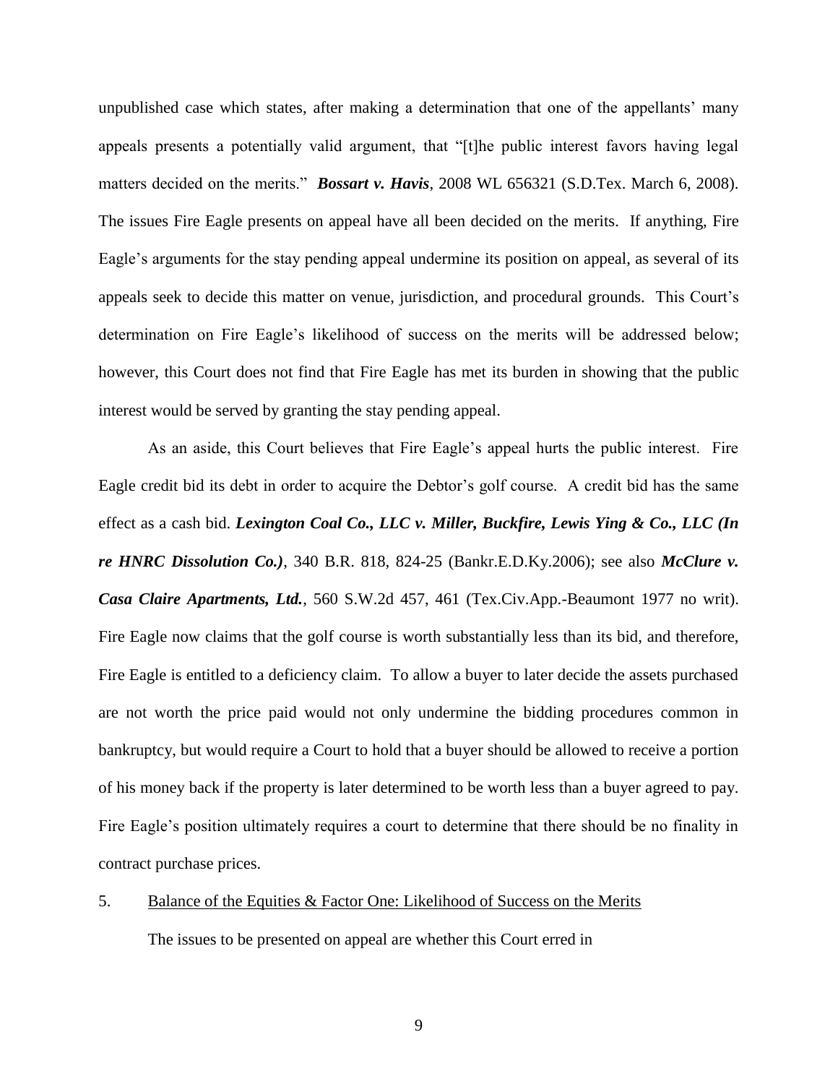unpublished case which states, after making a determination that one of the appellants" many appeals presents a potentially valid argument, that "[t]he public interest favors having legal matters decided on the merits." *Bossart v. Havis*, 2008 WL 656321 (S.D.Tex. March 6, 2008). The issues Fire Eagle presents on appeal have all been decided on the merits. If anything, Fire Eagle"s arguments for the stay pending appeal undermine its position on appeal, as several of its appeals seek to decide this matter on venue, jurisdiction, and procedural grounds. This Court's determination on Fire Eagle's likelihood of success on the merits will be addressed below; however, this Court does not find that Fire Eagle has met its burden in showing that the public interest would be served by granting the stay pending appeal.

As an aside, this Court believes that Fire Eagle"s appeal hurts the public interest. Fire Eagle credit bid its debt in order to acquire the Debtor's golf course. A credit bid has the same effect as a cash bid. *Lexington Coal Co., LLC v. Miller, Buckfire, Lewis Ying & Co., LLC (In re HNRC Dissolution Co.)*, 340 B.R. 818, 824-25 (Bankr.E.D.Ky.2006); see also *McClure v. Casa Claire Apartments, Ltd.*, 560 S.W.2d 457, 461 (Tex.Civ.App.-Beaumont 1977 no writ). Fire Eagle now claims that the golf course is worth substantially less than its bid, and therefore, Fire Eagle is entitled to a deficiency claim. To allow a buyer to later decide the assets purchased are not worth the price paid would not only undermine the bidding procedures common in bankruptcy, but would require a Court to hold that a buyer should be allowed to receive a portion of his money back if the property is later determined to be worth less than a buyer agreed to pay. Fire Eagle's position ultimately requires a court to determine that there should be no finality in contract purchase prices.

# 5. Balance of the Equities & Factor One: Likelihood of Success on the Merits

The issues to be presented on appeal are whether this Court erred in

9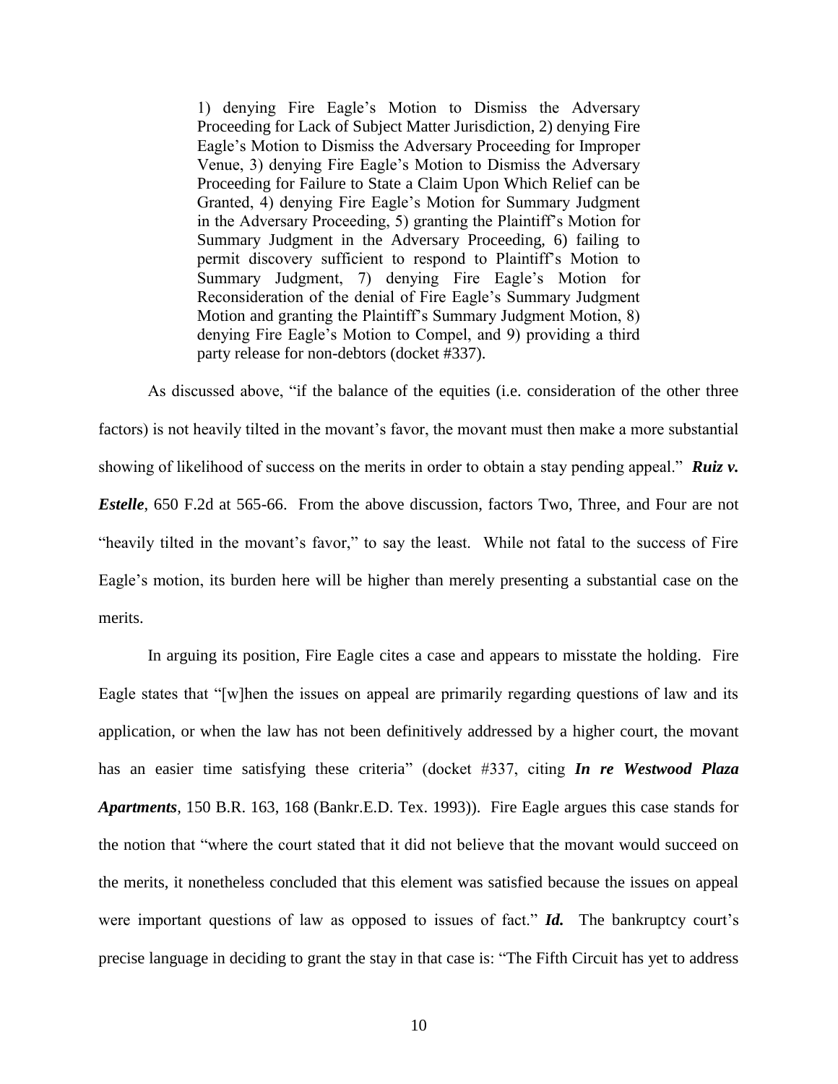1) denying Fire Eagle"s Motion to Dismiss the Adversary Proceeding for Lack of Subject Matter Jurisdiction, 2) denying Fire Eagle"s Motion to Dismiss the Adversary Proceeding for Improper Venue, 3) denying Fire Eagle"s Motion to Dismiss the Adversary Proceeding for Failure to State a Claim Upon Which Relief can be Granted, 4) denying Fire Eagle"s Motion for Summary Judgment in the Adversary Proceeding, 5) granting the Plaintiff"s Motion for Summary Judgment in the Adversary Proceeding, 6) failing to permit discovery sufficient to respond to Plaintiff"s Motion to Summary Judgment, 7) denying Fire Eagle"s Motion for Reconsideration of the denial of Fire Eagle"s Summary Judgment Motion and granting the Plaintiff"s Summary Judgment Motion, 8) denying Fire Eagle"s Motion to Compel, and 9) providing a third party release for non-debtors (docket #337).

As discussed above, "if the balance of the equities (i.e. consideration of the other three factors) is not heavily tilted in the movant's favor, the movant must then make a more substantial showing of likelihood of success on the merits in order to obtain a stay pending appeal." **Ruiz v.** *Estelle*, 650 F.2d at 565-66. From the above discussion, factors Two, Three, and Four are not "heavily tilted in the movant's favor," to say the least. While not fatal to the success of Fire Eagle's motion, its burden here will be higher than merely presenting a substantial case on the merits.

In arguing its position, Fire Eagle cites a case and appears to misstate the holding. Fire Eagle states that "[w]hen the issues on appeal are primarily regarding questions of law and its application, or when the law has not been definitively addressed by a higher court, the movant has an easier time satisfying these criteria" (docket #337, citing *In re Westwood Plaza Apartments*, 150 B.R. 163, 168 (Bankr.E.D. Tex. 1993)). Fire Eagle argues this case stands for the notion that "where the court stated that it did not believe that the movant would succeed on the merits, it nonetheless concluded that this element was satisfied because the issues on appeal were important questions of law as opposed to issues of fact." *Id.* The bankruptcy court's precise language in deciding to grant the stay in that case is: "The Fifth Circuit has yet to address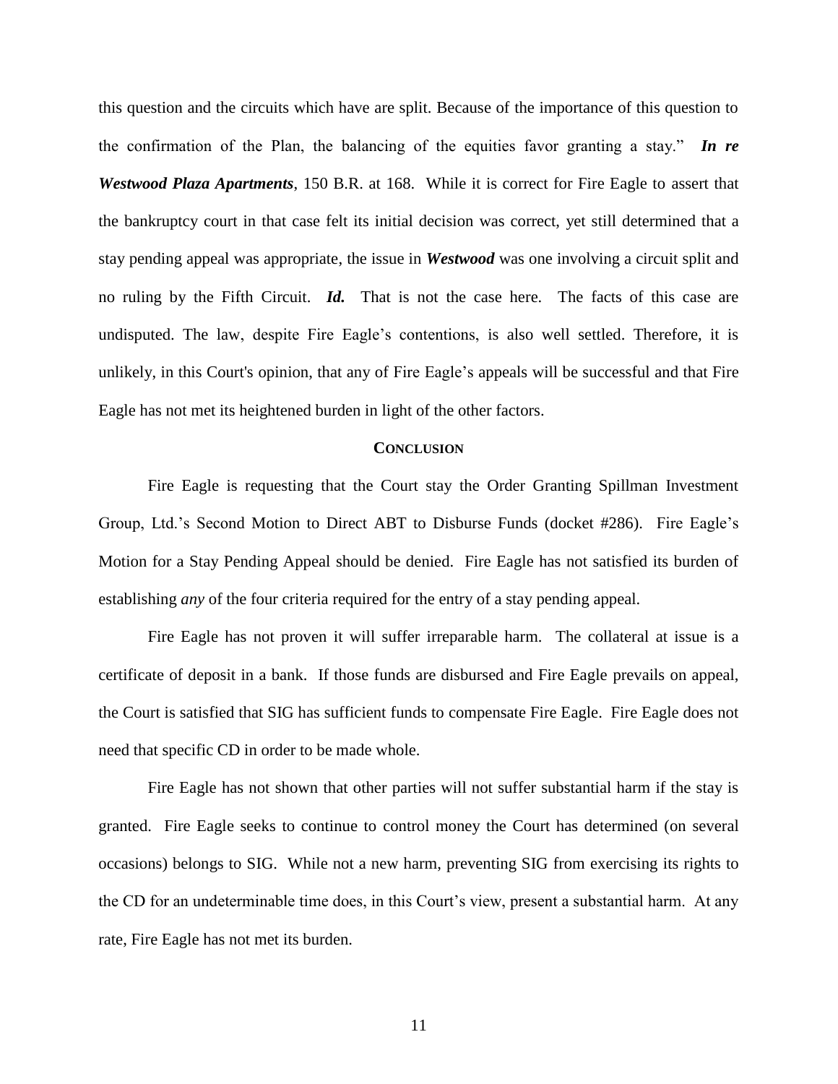this question and the circuits which have are split. Because of the importance of this question to the confirmation of the Plan, the balancing of the equities favor granting a stay." *In re Westwood Plaza Apartments*, 150 B.R. at 168. While it is correct for Fire Eagle to assert that the bankruptcy court in that case felt its initial decision was correct, yet still determined that a stay pending appeal was appropriate, the issue in *Westwood* was one involving a circuit split and no ruling by the Fifth Circuit. *Id.* That is not the case here. The facts of this case are undisputed. The law, despite Fire Eagle"s contentions, is also well settled. Therefore, it is unlikely, in this Court's opinion, that any of Fire Eagle"s appeals will be successful and that Fire Eagle has not met its heightened burden in light of the other factors.

# **CONCLUSION**

Fire Eagle is requesting that the Court stay the Order Granting Spillman Investment Group, Ltd."s Second Motion to Direct ABT to Disburse Funds (docket #286). Fire Eagle"s Motion for a Stay Pending Appeal should be denied. Fire Eagle has not satisfied its burden of establishing *any* of the four criteria required for the entry of a stay pending appeal.

Fire Eagle has not proven it will suffer irreparable harm. The collateral at issue is a certificate of deposit in a bank. If those funds are disbursed and Fire Eagle prevails on appeal, the Court is satisfied that SIG has sufficient funds to compensate Fire Eagle. Fire Eagle does not need that specific CD in order to be made whole.

Fire Eagle has not shown that other parties will not suffer substantial harm if the stay is granted. Fire Eagle seeks to continue to control money the Court has determined (on several occasions) belongs to SIG. While not a new harm, preventing SIG from exercising its rights to the CD for an undeterminable time does, in this Court"s view, present a substantial harm. At any rate, Fire Eagle has not met its burden.